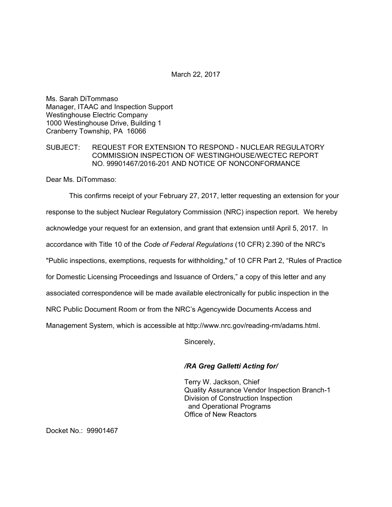March 22, 2017

Ms. Sarah DiTommaso Manager, ITAAC and Inspection Support Westinghouse Electric Company 1000 Westinghouse Drive, Building 1 Cranberry Township, PA 16066

#### SUBJECT: REQUEST FOR EXTENSION TO RESPOND - NUCLEAR REGULATORY COMMISSION INSPECTION OF WESTINGHOUSE/WECTEC REPORT NO. 99901467/2016-201 AND NOTICE OF NONCONFORMANCE

Dear Ms. DiTommaso:

This confirms receipt of your February 27, 2017, letter requesting an extension for your response to the subject Nuclear Regulatory Commission (NRC) inspection report. We hereby acknowledge your request for an extension, and grant that extension until April 5, 2017. In accordance with Title 10 of the *Code of Federal Regulations* (10 CFR) 2.390 of the NRC's "Public inspections, exemptions, requests for withholding," of 10 CFR Part 2, "Rules of Practice for Domestic Licensing Proceedings and Issuance of Orders," a copy of this letter and any associated correspondence will be made available electronically for public inspection in the NRC Public Document Room or from the NRC's Agencywide Documents Access and Management System, which is accessible at http://www.nrc.gov/reading-rm/adams.html.

Sincerely,

### */RA Greg Galletti Acting for/*

Terry W. Jackson, Chief Quality Assurance Vendor Inspection Branch-1 Division of Construction Inspection and Operational Programs Office of New Reactors

Docket No.: 99901467